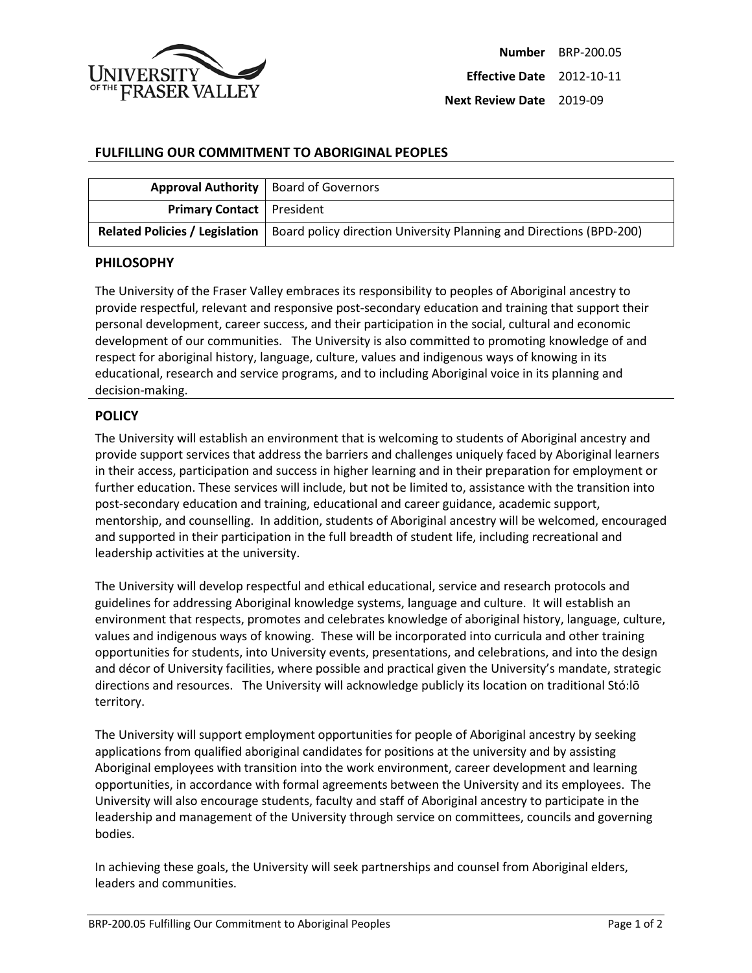

## **FULFILLING OUR COMMITMENT TO ABORIGINAL PEOPLES**

|                                    | <b>Approval Authority</b>   Board of Governors                                                       |
|------------------------------------|------------------------------------------------------------------------------------------------------|
| <b>Primary Contact</b>   President |                                                                                                      |
|                                    | Related Policies / Legislation   Board policy direction University Planning and Directions (BPD-200) |

## **PHILOSOPHY**

The University of the Fraser Valley embraces its responsibility to peoples of Aboriginal ancestry to provide respectful, relevant and responsive post-secondary education and training that support their personal development, career success, and their participation in the social, cultural and economic development of our communities. The University is also committed to promoting knowledge of and respect for aboriginal history, language, culture, values and indigenous ways of knowing in its educational, research and service programs, and to including Aboriginal voice in its planning and decision-making.

## **POLICY**

The University will establish an environment that is welcoming to students of Aboriginal ancestry and provide support services that address the barriers and challenges uniquely faced by Aboriginal learners in their access, participation and success in higher learning and in their preparation for employment or further education. These services will include, but not be limited to, assistance with the transition into post-secondary education and training, educational and career guidance, academic support, mentorship, and counselling. In addition, students of Aboriginal ancestry will be welcomed, encouraged and supported in their participation in the full breadth of student life, including recreational and leadership activities at the university.

The University will develop respectful and ethical educational, service and research protocols and guidelines for addressing Aboriginal knowledge systems, language and culture. It will establish an environment that respects, promotes and celebrates knowledge of aboriginal history, language, culture, values and indigenous ways of knowing. These will be incorporated into curricula and other training opportunities for students, into University events, presentations, and celebrations, and into the design and décor of University facilities, where possible and practical given the University's mandate, strategic directions and resources. The University will acknowledge publicly its location on traditional Stó:lō territory.

The University will support employment opportunities for people of Aboriginal ancestry by seeking applications from qualified aboriginal candidates for positions at the university and by assisting Aboriginal employees with transition into the work environment, career development and learning opportunities, in accordance with formal agreements between the University and its employees. The University will also encourage students, faculty and staff of Aboriginal ancestry to participate in the leadership and management of the University through service on committees, councils and governing bodies.

In achieving these goals, the University will seek partnerships and counsel from Aboriginal elders, leaders and communities.